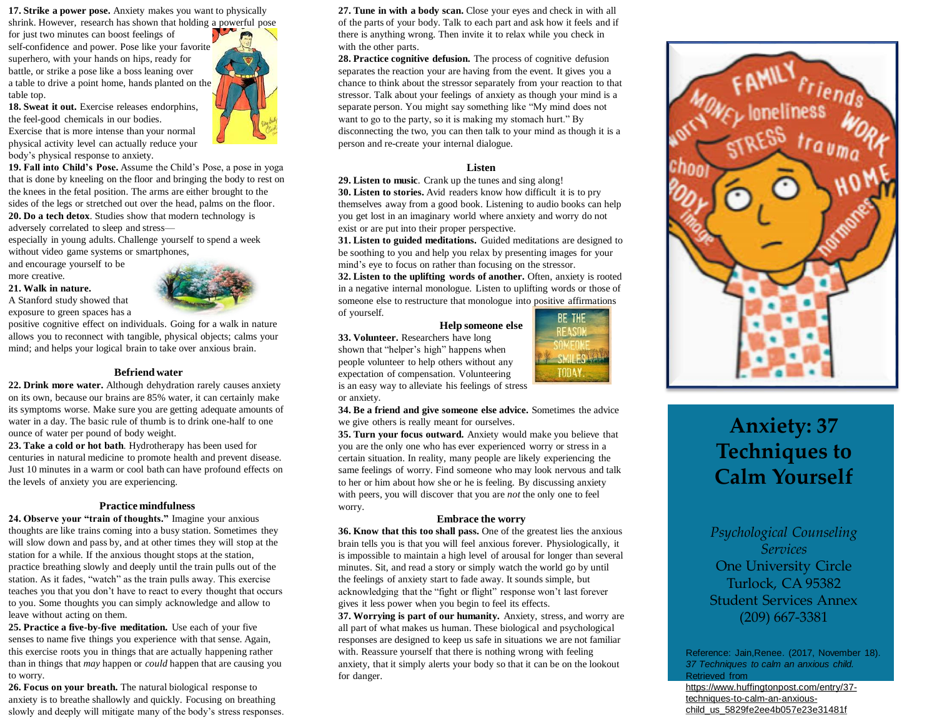**17. Strike a power pose.** Anxiety makes you want to physically shrink. However, research has shown that holding a powerful pose

for just two minutes can boost feelings of self-confidence and power. Pose like your favorite superhero, with your hands on hips, ready for battle, or strike a pose like a boss leaning over a table to drive a point home, hands planted on the table top.

**18. Sweat it out.** Exercise releases endorphins, the feel-good chemicals in our bodies. Exercise that is more intense than your normal physical activity level can actually reduce your body's physical response to anxiety.

**19. Fall into Child's Pose.** Assume the Child's Pose, a pose in yoga that is done by kneeling on the floor and bringing the body to rest on the knees in the fetal position. The arms are either brought to the sides of the legs or stretched out over the head, palms on the floor.

**20. Do a tech detox***.* Studies show that modern technology is adversely correlated to sleep and stress—

especially in young adults. Challenge yourself to spend a week without video game systems or smartphones,

and encourage yourself to be more creative.

### **21. Walk in nature.**

A Stanford study showed that exposure to green spaces has a



positive cognitive effect on individuals. Going for a walk in nature allows you to reconnect with tangible, physical objects; calms your mind; and helps your logical brain to take over anxious brain.

### **Befriend water**

**22. Drink more water.** Although dehydration rarely causes anxiety on its own, because our brains are 85% water, it can certainly make its symptoms worse. Make sure you are getting adequate amounts of water in a day. The basic rule of thumb is to drink one-half to one ounce of water per pound of body weight.

**23. Take a cold or hot bath***.* Hydrotherapy has been used for centuries in natural medicine to promote health and prevent disease. Just 10 minutes in a warm or cool bath can have profound effects on the levels of anxiety you are experiencing.

### **Practice mindfulness**

**24. Observe your "train of thoughts."** Imagine your anxious thoughts are like trains coming into a busy station. Sometimes they will slow down and pass by, and at other times they will stop at the station for a while. If the anxious thought stops at the station, practice breathing slowly and deeply until the train pulls out of the station. As it fades, "watch" as the train pulls away. This exercise teaches you that you don't have to react to every thought that occurs to you. Some thoughts you can simply acknowledge and allow to leave without acting on them.

**25. Practice a five-by-five meditation.** Use each of your five senses to name five things you experience with that sense. Again, this exercise roots you in things that are actually happening rather than in things that *may* happen or *could* happen that are causing you to worry.

**26. Focus on your breath.** The natural biological response to anxiety is to breathe shallowly and quickly. Focusing on breathing slowly and deeply will mitigate many of the body's stress responses.



**28. Practice cognitive defusion.** The process of cognitive defusion separates the reaction your are having from the event. It gives you a chance to think about the stressor separately from your reaction to that stressor. Talk about your feelings of anxiety as though your mind is a separate person. You might say something like "My mind does not want to go to the party, so it is making my stomach hurt." By disconnecting the two, you can then talk to your mind as though it is a person and re-create your internal dialogue.

# **Listen**

**29. Listen to music**. Crank up the tunes and sing along! **30. Listen to stories.** Avid readers know how difficult it is to pry themselves away from a good book. Listening to audio books can help you get lost in an imaginary world where anxiety and worry do not exist or are put into their proper perspective.

**31. Listen to guided meditations.** Guided meditations are designed to be soothing to you and help you relax by presenting images for your mind's eye to focus on rather than focusing on the stressor.

**32. Listen to the uplifting words of another.** Often, anxiety is rooted in a negative internal monologue. Listen to uplifting words or those of someone else to restructure that monologue into positive affirmations of yourself. BE THE

### **Help someone else**

**REASO** 

**SMILES TODAY** 

**33. Volunteer.** Researchers have long shown that "helper's high" happens when people volunteer to help others without any expectation of compensation. Volunteering is an easy way to alleviate his feelings of stress

or anxiety.

**34. Be a friend and give someone else advice.** Sometimes the advice we give others is really meant for ourselves.

**35. Turn your focus outward.** Anxiety would make you believe that you are the only one who has ever experienced worry or stress in a certain situation. In reality, many people are likely experiencing the same feelings of worry. Find someone who may look nervous and talk to her or him about how she or he is feeling. By discussing anxiety with peers, you will discover that you are *not* the only one to feel worry.

## **Embrace the worry**

**36. Know that this too shall pass.** One of the greatest lies the anxious brain tells you is that you will feel anxious forever. Physiologically, it is impossible to maintain a high level of arousal for longer than several minutes. Sit, and read a story or simply watch the world go by until the feelings of anxiety start to fade away. It sounds simple, but acknowledging that the "fight or flight" response won't last forever gives it less power when you begin to feel its effects.

**37. Worrying is part of our humanity.** Anxiety, stress, and worry are all part of what makes us human. These biological and psychological responses are designed to keep us safe in situations we are not familiar with. Reassure yourself that there is nothing wrong with feeling anxiety, that it simply alerts your body so that it can be on the lookout for danger.



# **Anxiety: 37 Techniques to Calm Yourself**

*Psychological Counseling Services*  One University Circle Turlock, CA 95382 Student Services Annex (209) 667-3381

Reference: Jain,Renee. (2017, November 18). *37 Techniques to calm an anxious child.*  Retrieved from

https://www.huffingtonpost.com/entry/37 techniques-to-calm-an-anxiouschild\_us\_5829fe2ee4b057e23e31481f